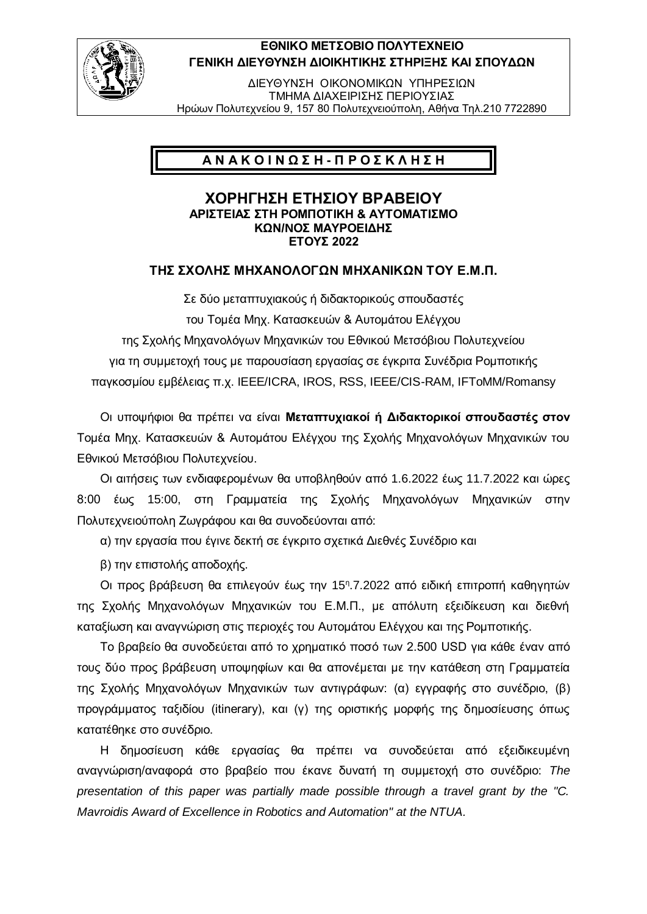

## **ΕΘΝΙΚΟ ΜΕΤΣΟΒΙΟ ΠΟΛΥΤΕΧΝΕΙΟ ΓΕΝΙΚΗ ΔΙΕΥΘΥΝΣΗ ΔΙΟΙΚΗΤΙΚΗΣ ΣΤΗΡΙΞΗΣ ΚΑΙ ΣΠΟΥΔΩΝ**

ΔΙΕΥΘΥΝΣΗ ΟΙΚΟΝΟΜΙΚΩΝ ΥΠΗΡΕΣΙΩΝ ΤΜΗΜΑ ΔΙΑΧΕΙΡΙΣΗΣ ΠΕΡΙΟΥΣΙΑΣ Ηρώων Πολυτεχνείου 9, 157 80 Πολυτεχνειούπολη, Αθήνα Τηλ.210 7722890

# **Α Ν Α Κ Ο Ι Ν Ω Σ Η - Π Ρ Ο Σ Κ Λ Η Σ Η**

#### **ΧΟΡΗΓΗΣΗ ΕΤΗΣΙΟΥ ΒΡΑΒΕΙΟΥ ΑΡΙΣΤΕΙΑΣ ΣΤΗ ΡΟΜΠΟΤΙΚΗ & ΑΥΤΟΜΑΤΙΣΜΟ ΚΩΝ/NΟΣ ΜΑΥΡΟΕΙΔΗΣ ΕΤΟΥΣ 2022**

### **ΤΗΣ ΣΧΟΛΗΣ ΜΗΧΑΝΟΛΟΓΩΝ ΜΗΧΑΝΙΚΩΝ ΤΟΥ Ε.Μ.Π.**

Σε δύο μεταπτυχιακούς ή διδακτορικούς σπουδαστές του Τομέα Μηχ. Κατασκευών & Αυτομάτου Ελέγχου της Σχολής Μηχανολόγων Μηχανικών του Εθνικού Μετσόβιου Πολυτεχνείου για τη συμμετοχή τους με παρουσίαση εργασίας σε έγκριτα Συνέδρια Ρομποτικής παγκοσμίου εμβέλειας π.χ. IEEE/ICRA, IROS, RSS, IEEE/CIS-RAM, IFToMM/Romansy

Οι υποψήφιοι θα πρέπει να είναι **Μεταπτυχιακοί ή Διδακτορικοί σπουδαστές στον** Τομέα Μηχ. Κατασκευών & Αυτομάτου Ελέγχου της Σχολής Μηχανολόγων Μηχανικών του Εθνικού Μετσόβιου Πολυτεχνείου.

Οι αιτήσεις των ενδιαφερομένων θα υποβληθούν από 1.6.2022 έως 11.7.2022 και ώρες 8:00 έως 15:00, στη Γραμματεία της Σχολής Μηχανολόγων Μηχανικών στην Πολυτεχνειούπολη Ζωγράφου και θα συνοδεύονται από:

α) την εργασία που έγινε δεκτή σε έγκριτο σχετικά Διεθνές Συνέδριο και

β) την επιστολής αποδοχής.

Oι προς βράβευση θα επιλεγούν έως την 15<sup>η</sup>.7.2022 από ειδική επιτροπή καθηγητών της Σχολής Μηχανολόγων Μηχανικών του Ε.Μ.Π., με απόλυτη εξειδίκευση και διεθνή καταξίωση και αναγνώριση στις περιοχές του Αυτομάτου Ελέγχου και της Ρομποτικής.

Το βραβείο θα συνοδεύεται από το χρηματικό ποσό των 2.500 USD για κάθε έναν από τους δύο προς βράβευση υποψηφίων και θα απονέμεται με την κατάθεση στη Γραμματεία της Σχολής Μηχανολόγων Μηχανικών των αντιγράφων: (α) εγγραφής στο συνέδριο, (β) προγράμματος ταξιδίου (itinerary), και (γ) της οριστικής μορφής της δημοσίευσης όπως κατατέθηκε στο συνέδριο.

Η δημοσίευση κάθε εργασίας θα πρέπει να συνοδεύεται από εξειδικευμένη αναγνώριση/αναφορά στο βραβείο που έκανε δυνατή τη συμμετοχή στο συνέδριο: *The presentation of this paper was partially made possible through a travel grant by the "C. Mavroidis Award of Excellence in Robotics and Automation" at the NTUA.*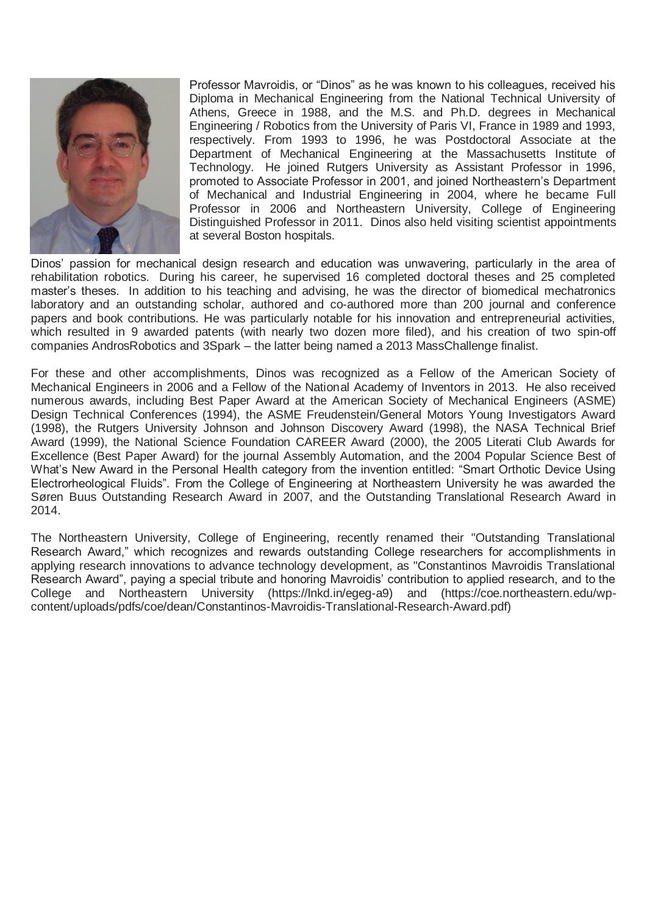

Professor Mavroidis, or "Dinos" as he was known to his colleagues, received his Diploma in Mechanical Engineering from the National Technical University of Athens, Greece in 1988, and the M.S. and Ph.D. degrees in Mechanical Engineering / Robotics from the University of Paris VI, France in 1989 and 1993, respectively. From 1993 to 1996, he was Postdoctoral Associate at the Department of Mechanical Engineering at the Massachusetts Institute of Technology. He joined Rutgers University as Assistant Professor in 1996, promoted to Associate Professor in 2001, and joined Northeastern's Department of Mechanical and Industrial Engineering in 2004, where he became Full Professor in 2006 and Northeastern University, College of Engineering Distinguished Professor in 2011. Dinos also held visiting scientist appointments at several Boston hospitals.

Dinos' passion for mechanical design research and education was unwavering, particularly in the area of rehabilitation robotics. During his career, he supervised 16 completed doctoral theses and 25 completed master's theses. In addition to his teaching and advising, he was the director of biomedical mechatronics laboratory and an outstanding scholar, authored and co-authored more than 200 journal and conference papers and book contributions. He was particularly notable for his innovation and entrepreneurial activities, which resulted in 9 awarded patents (with nearly two dozen more filed), and his creation of two spin-off companies AndrosRobotics and 3Spark – the latter being named a 2013 MassChallenge finalist.

For these and other accomplishments, Dinos was recognized as a Fellow of the American Society of Mechanical Engineers in 2006 and a Fellow of the National Academy of Inventors in 2013. He also received numerous awards, including Best Paper Award at the American Society of Mechanical Engineers (ASME) Design Technical Conferences (1994), the ASME Freudenstein/General Motors Young Investigators Award (1998), the Rutgers University Johnson and Johnson Discovery Award (1998), the NASA Technical Brief Award (1999), the National Science Foundation CAREER Award (2000), the 2005 Literati Club Awards for Excellence (Best Paper Award) for the journal Assembly Automation, and the 2004 Popular Science Best of What's New Award in the Personal Health category from the invention entitled: "Smart Orthotic Device Using Electrorheological Fluids". From the College of Engineering at Northeastern University he was awarded the Søren Buus Outstanding Research Award in 2007, and the Outstanding Translational Research Award in 2014.

The Northeastern University, College of Engineering, recently renamed their "Outstanding Translational Research Award," which recognizes and rewards outstanding College researchers for accomplishments in applying research innovations to advance technology development, as "Constantinos Mavroidis Translational Research Award", paying a special tribute and honoring Mavroidis' contribution to applied research, and to the College and Northeastern University [\(https://lnkd.in/egeg-a9\)](https://lnkd.in/egeg-a9?fbclid=IwAR3Bz0oirOGZh1eTJJYY-45QANApE8H5D7aRbIdKu2-qS90-uM3GTiwnaSI) and (https://coe.northeastern.edu/wpcontent/uploads/pdfs/coe/dean/Constantinos-Mavroidis-Translational-Research-Award.pdf)